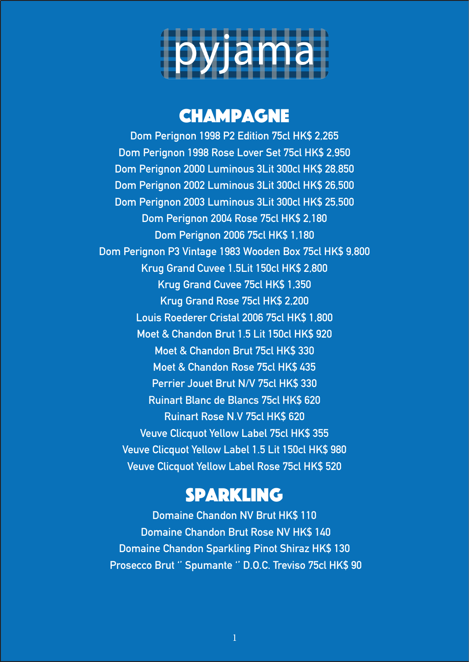

## **CHAMPAGNE**

**Dom Perignon 1998 P2 Edition 75cl HK\$ 2,265 Dom Perignon 1998 Rose Lover Set 75cl HK\$ 2,950 Dom Perignon 2000 Luminous 3Lit 300cl HK\$ 28,850 Dom Perignon 2002 Luminous 3Lit 300cl HK\$ 26,500 Dom Perignon 2003 Luminous 3Lit 300cl HK\$ 25,500 Dom Perignon 2004 Rose 75cl HK\$ 2,180 Dom Perignon 2006 75cl HK\$ 1,180 Dom Perignon P3 Vintage 1983 Wooden Box 75cl HK\$ 9,800 Krug Grand Cuvee 1.5Lit 150cl HK\$ 2,800 Krug Grand Cuvee 75cl HK\$ 1,350 Krug Grand Rose 75cl HK\$ 2,200 Louis Roederer Cristal 2006 75cl HK\$ 1,800 Moet & Chandon Brut 1.5 Lit 150cl HK\$ 920 Moet & Chandon Brut 75cl HK\$ 330 Moet & Chandon Rose 75cl HK\$ 435 Perrier Jouet Brut N/V 75cl HK\$ 330 Ruinart Blanc de Blancs 75cl HK\$ 620 Ruinart Rose N.V 75cl HK\$ 620 Veuve Clicquot Yellow Label 75cl HK\$ 355 Veuve Clicquot Yellow Label 1.5 Lit 150cl HK\$ 980 Veuve Clicquot Yellow Label Rose 75cl HK\$ 520**

## Sparkling

**Domaine Chandon NV Brut HK\$ 110 Domaine Chandon Brut Rose NV HK\$ 140 Domaine Chandon Sparkling Pinot Shiraz HK\$ 130 Prosecco Brut '' Spumante '' D.O.C. Treviso 75cl HK\$ 90**